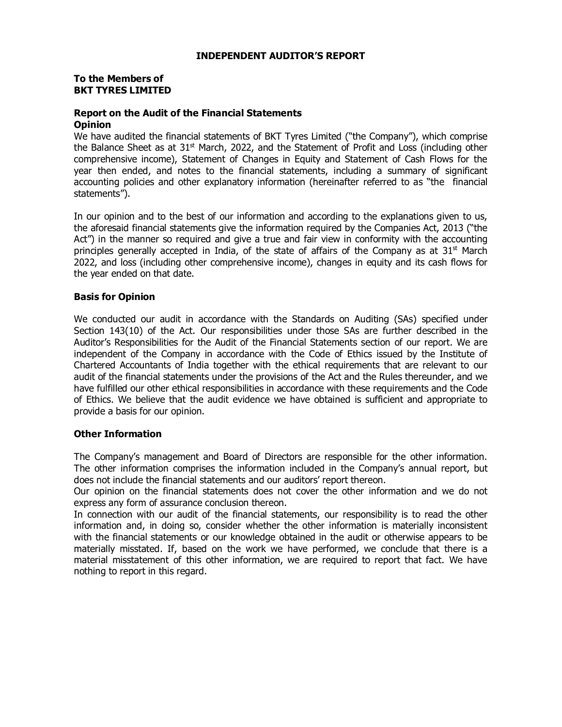## **INDEPENDENT AUDITOR'S REPORT**

# **To the Members of BKT TYRES LIMITED**

## **Report on the Audit of the Financial Statements Opinion**

We have audited the financial statements of BKT Tyres Limited ("the Company"), which comprise the Balance Sheet as at  $31<sup>st</sup>$  March, 2022, and the Statement of Profit and Loss (including other comprehensive income), Statement of Changes in Equity and Statement of Cash Flows for the year then ended, and notes to the financial statements, including a summary of significant accounting policies and other explanatory information (hereinafter referred to as "the financial statements").

In our opinion and to the best of our information and according to the explanations given to us, the aforesaid financial statements give the information required by the Companies Act, 2013 ("the Act") in the manner so required and give a true and fair view in conformity with the accounting principles generally accepted in India, of the state of affairs of the Company as at 31<sup>st</sup> March 2022, and loss (including other comprehensive income), changes in equity and its cash flows for the year ended on that date.

## **Basis for Opinion**

We conducted our audit in accordance with the Standards on Auditing (SAs) specified under Section 143(10) of the Act. Our responsibilities under those SAs are further described in the Auditor's Responsibilities for the Audit of the Financial Statements section of our report. We are independent of the Company in accordance with the Code of Ethics issued by the Institute of Chartered Accountants of India together with the ethical requirements that are relevant to our audit of the financial statements under the provisions of the Act and the Rules thereunder, and we have fulfilled our other ethical responsibilities in accordance with these requirements and the Code of Ethics. We believe that the audit evidence we have obtained is sufficient and appropriate to provide a basis for our opinion.

## **Other Information**

The Company's management and Board of Directors are responsible for the other information. The other information comprises the information included in the Company's annual report, but does not include the financial statements and our auditors' report thereon.

Our opinion on the financial statements does not cover the other information and we do not express any form of assurance conclusion thereon.

In connection with our audit of the financial statements, our responsibility is to read the other information and, in doing so, consider whether the other information is materially inconsistent with the financial statements or our knowledge obtained in the audit or otherwise appears to be materially misstated. If, based on the work we have performed, we conclude that there is a material misstatement of this other information, we are required to report that fact. We have nothing to report in this regard.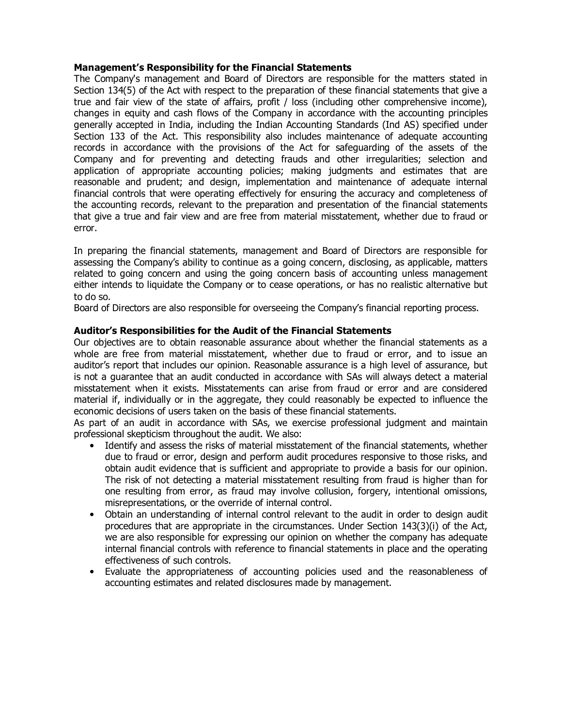# **Management's Responsibility for the Financial Statements**

The Company's management and Board of Directors are responsible for the matters stated in Section 134(5) of the Act with respect to the preparation of these financial statements that give a true and fair view of the state of affairs, profit / loss (including other comprehensive income), changes in equity and cash flows of the Company in accordance with the accounting principles generally accepted in India, including the Indian Accounting Standards (Ind AS) specified under Section 133 of the Act. This responsibility also includes maintenance of adequate accounting records in accordance with the provisions of the Act for safeguarding of the assets of the Company and for preventing and detecting frauds and other irregularities; selection and application of appropriate accounting policies; making judgments and estimates that are reasonable and prudent; and design, implementation and maintenance of adequate internal financial controls that were operating effectively for ensuring the accuracy and completeness of the accounting records, relevant to the preparation and presentation of the financial statements that give a true and fair view and are free from material misstatement, whether due to fraud or error.

In preparing the financial statements, management and Board of Directors are responsible for assessing the Company's ability to continue as a going concern, disclosing, as applicable, matters related to going concern and using the going concern basis of accounting unless management either intends to liquidate the Company or to cease operations, or has no realistic alternative but to do so.

Board of Directors are also responsible for overseeing the Company's financial reporting process.

# **Auditor's Responsibilities for the Audit of the Financial Statements**

Our objectives are to obtain reasonable assurance about whether the financial statements as a whole are free from material misstatement, whether due to fraud or error, and to issue an auditor's report that includes our opinion. Reasonable assurance is a high level of assurance, but is not a guarantee that an audit conducted in accordance with SAs will always detect a material misstatement when it exists. Misstatements can arise from fraud or error and are considered material if, individually or in the aggregate, they could reasonably be expected to influence the economic decisions of users taken on the basis of these financial statements.

As part of an audit in accordance with SAs, we exercise professional judgment and maintain professional skepticism throughout the audit. We also:

- Identify and assess the risks of material misstatement of the financial statements, whether due to fraud or error, design and perform audit procedures responsive to those risks, and obtain audit evidence that is sufficient and appropriate to provide a basis for our opinion. The risk of not detecting a material misstatement resulting from fraud is higher than for one resulting from error, as fraud may involve collusion, forgery, intentional omissions, misrepresentations, or the override of internal control.
- Obtain an understanding of internal control relevant to the audit in order to design audit procedures that are appropriate in the circumstances. Under Section 143(3)(i) of the Act, we are also responsible for expressing our opinion on whether the company has adequate internal financial controls with reference to financial statements in place and the operating effectiveness of such controls.
- Evaluate the appropriateness of accounting policies used and the reasonableness of accounting estimates and related disclosures made by management.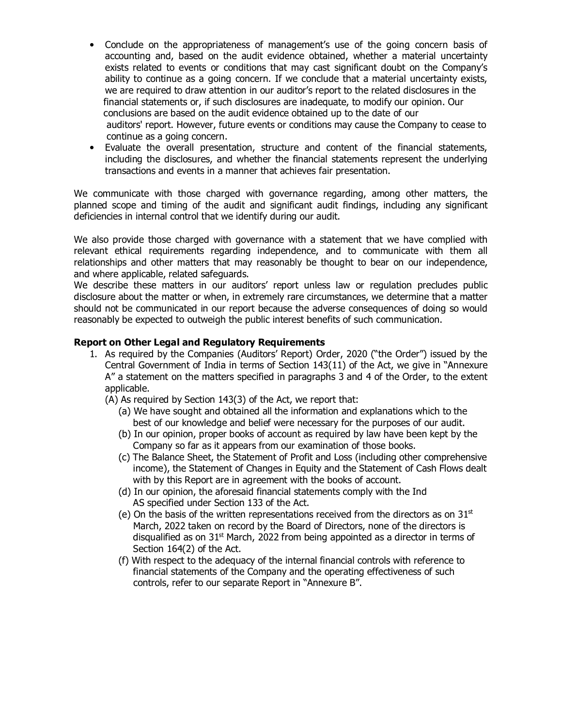- Conclude on the appropriateness of management's use of the going concern basis of accounting and, based on the audit evidence obtained, whether a material uncertainty exists related to events or conditions that may cast significant doubt on the Company's ability to continue as a going concern. If we conclude that a material uncertainty exists, we are required to draw attention in our auditor's report to the related disclosures in the financial statements or, if such disclosures are inadequate, to modify our opinion. Our conclusions are based on the audit evidence obtained up to the date of our auditors' report. However, future events or conditions may cause the Company to cease to continue as a going concern.
- Evaluate the overall presentation, structure and content of the financial statements, including the disclosures, and whether the financial statements represent the underlying transactions and events in a manner that achieves fair presentation.

We communicate with those charged with governance regarding, among other matters, the planned scope and timing of the audit and significant audit findings, including any significant deficiencies in internal control that we identify during our audit.

We also provide those charged with governance with a statement that we have complied with relevant ethical requirements regarding independence, and to communicate with them all relationships and other matters that may reasonably be thought to bear on our independence, and where applicable, related safeguards.

We describe these matters in our auditors' report unless law or requlation precludes public disclosure about the matter or when, in extremely rare circumstances, we determine that a matter should not be communicated in our report because the adverse consequences of doing so would reasonably be expected to outweigh the public interest benefits of such communication.

## **Report on Other Legal and Regulatory Requirements**

- 1. As required by the Companies (Auditors' Report) Order, 2020 ("the Order") issued by the Central Government of India in terms of Section 143(11) of the Act, we give in "Annexure A" a statement on the matters specified in paragraphs 3 and 4 of the Order, to the extent applicable.
	- (A) As required by Section 143(3) of the Act, we report that:
		- (a) We have sought and obtained all the information and explanations which to the best of our knowledge and belief were necessary for the purposes of our audit.
		- (b) In our opinion, proper books of account as required by law have been kept by the Company so far as it appears from our examination of those books.
		- (c) The Balance Sheet, the Statement of Profit and Loss (including other comprehensive income), the Statement of Changes in Equity and the Statement of Cash Flows dealt with by this Report are in agreement with the books of account.
		- (d) In our opinion, the aforesaid financial statements comply with the Ind AS specified under Section 133 of the Act.
- (e) On the basis of the written representations received from the directors as on  $31<sup>st</sup>$  March, 2022 taken on record by the Board of Directors, none of the directors is disqualified as on  $31<sup>st</sup>$  March, 2022 from being appointed as a director in terms of Section 164(2) of the Act.
	- (f) With respect to the adequacy of the internal financial controls with reference to financial statements of the Company and the operating effectiveness of such controls, refer to our separate Report in "Annexure B".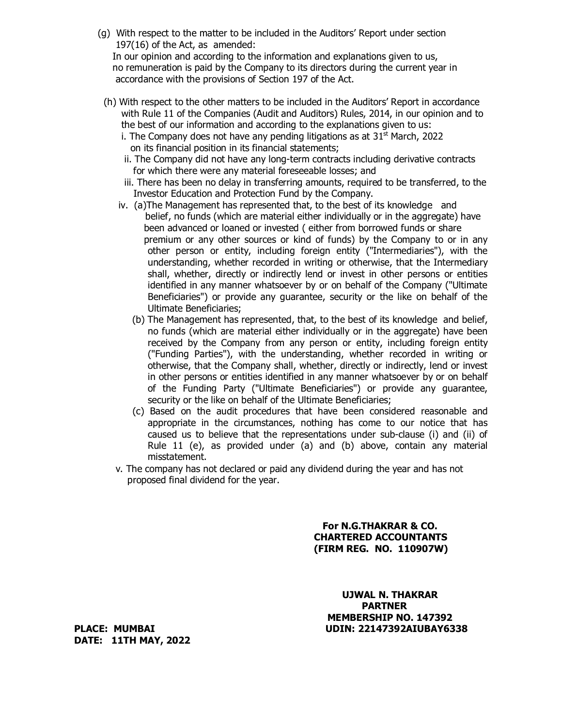(g) With respect to the matter to be included in the Auditors' Report under section 197(16) of the Act, as amended: In our opinion and according to the information and explanations given to us,

 no remuneration is paid by the Company to its directors during the current year in accordance with the provisions of Section 197 of the Act.

- (h) With respect to the other matters to be included in the Auditors' Report in accordance with Rule 11 of the Companies (Audit and Auditors) Rules, 2014, in our opinion and to the best of our information and according to the explanations given to us:
	- i. The Company does not have any pending litigations as at  $31<sup>st</sup>$  March, 2022 on its financial position in its financial statements;
	- ii. The Company did not have any long-term contracts including derivative contracts for which there were any material foreseeable losses; and
	- iii. There has been no delay in transferring amounts, required to be transferred, to the Investor Education and Protection Fund by the Company.
	- iv. (a)The Management has represented that, to the best of its knowledge and belief, no funds (which are material either individually or in the aggregate) have been advanced or loaned or invested ( either from borrowed funds or share premium or any other sources or kind of funds) by the Company to or in any other person or entity, including foreign entity ("Intermediaries"), with the understanding, whether recorded in writing or otherwise, that the Intermediary shall, whether, directly or indirectly lend or invest in other persons or entities identified in any manner whatsoever by or on behalf of the Company ("Ultimate Beneficiaries") or provide any guarantee, security or the like on behalf of the Ultimate Beneficiaries;
		- (b) The Management has represented, that, to the best of its knowledge and belief, no funds (which are material either individually or in the aggregate) have been received by the Company from any person or entity, including foreign entity ("Funding Parties"), with the understanding, whether recorded in writing or otherwise, that the Company shall, whether, directly or indirectly, lend or invest in other persons or entities identified in any manner whatsoever by or on behalf of the Funding Party ("Ultimate Beneficiaries") or provide any guarantee, security or the like on behalf of the Ultimate Beneficiaries;
		- (c) Based on the audit procedures that have been considered reasonable and appropriate in the circumstances, nothing has come to our notice that has caused us to believe that the representations under sub-clause (i) and (ii) of Rule 11 (e), as provided under (a) and (b) above, contain any material misstatement.
	- v. The company has not declared or paid any dividend during the year and has not proposed final dividend for the year.

 **For N.G.THAKRAR & CO. CHARTERED ACCOUNTANTS (FIRM REG. NO. 110907W)** 

 **UJWAL N. THAKRAR PARTNER MEMBERSHIP NO. 147392 PLACE: MUMBAI UDIN: 22147392AIUBAY6338** 

**DATE: 11TH MAY, 2022**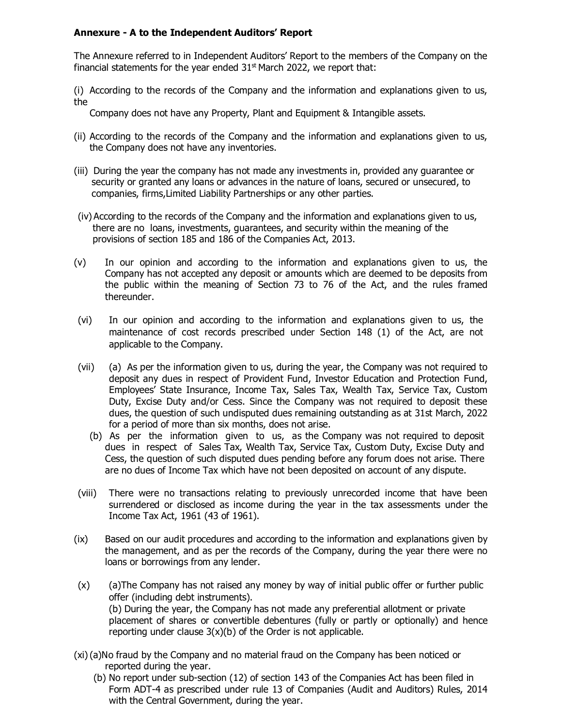# **Annexure - A to the Independent Auditors' Report**

The Annexure referred to in Independent Auditors' Report to the members of the Company on the financial statements for the year ended  $31<sup>st</sup>$  March 2022, we report that:

(i) According to the records of the Company and the information and explanations given to us, the

Company does not have any Property, Plant and Equipment & Intangible assets.

- (ii) According to the records of the Company and the information and explanations given to us, the Company does not have any inventories.
- (iii) During the year the company has not made any investments in, provided any guarantee or security or granted any loans or advances in the nature of loans, secured or unsecured, to companies, firms,Limited Liability Partnerships or any other parties.
- (iv) According to the records of the Company and the information and explanations given to us, there are no loans, investments, guarantees, and security within the meaning of the provisions of section 185 and 186 of the Companies Act, 2013.
- (v) In our opinion and according to the information and explanations given to us, the Company has not accepted any deposit or amounts which are deemed to be deposits from the public within the meaning of Section 73 to 76 of the Act, and the rules framed thereunder.
- (vi) In our opinion and according to the information and explanations given to us, the maintenance of cost records prescribed under Section 148 (1) of the Act, are not applicable to the Company.
- (vii) (a) As per the information given to us, during the year, the Company was not required to deposit any dues in respect of Provident Fund, Investor Education and Protection Fund, Employees' State Insurance, Income Tax, Sales Tax, Wealth Tax, Service Tax, Custom Duty, Excise Duty and/or Cess. Since the Company was not required to deposit these dues, the question of such undisputed dues remaining outstanding as at 31st March, 2022 for a period of more than six months, does not arise.
	- (b) As per the information given to us, as the Company was not required to deposit dues in respect of Sales Tax, Wealth Tax, Service Tax, Custom Duty, Excise Duty and Cess, the question of such disputed dues pending before any forum does not arise. There are no dues of Income Tax which have not been deposited on account of any dispute.
- (viii) There were no transactions relating to previously unrecorded income that have been surrendered or disclosed as income during the year in the tax assessments under the Income Tax Act, 1961 (43 of 1961).
- (ix) Based on our audit procedures and according to the information and explanations given by the management, and as per the records of the Company, during the year there were no loans or borrowings from any lender.
- (x) (a)The Company has not raised any money by way of initial public offer or further public offer (including debt instruments). (b) During the year, the Company has not made any preferential allotment or private placement of shares or convertible debentures (fully or partly or optionally) and hence reporting under clause  $3(x)(b)$  of the Order is not applicable.
- (xi) (a)No fraud by the Company and no material fraud on the Company has been noticed or reported during the year.
	- (b) No report under sub-section (12) of section 143 of the Companies Act has been filed in Form ADT-4 as prescribed under rule 13 of Companies (Audit and Auditors) Rules, 2014 with the Central Government, during the year.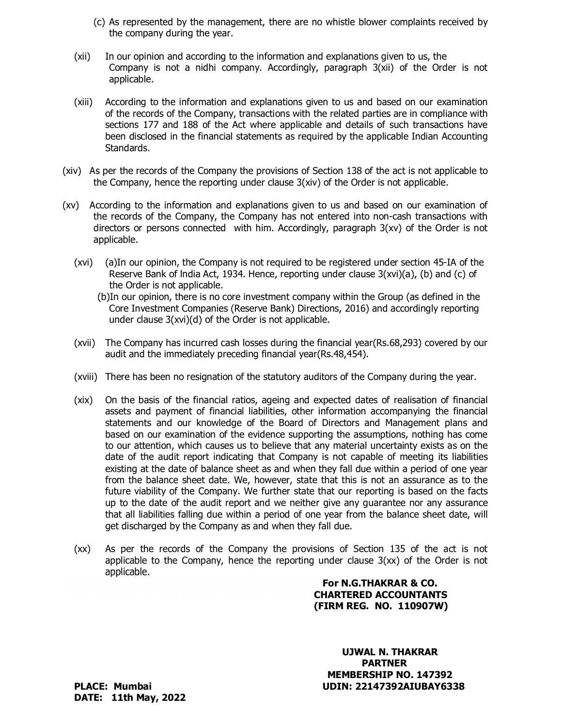- (c) As represented by the management, there are no whistle blower complaints received by the company during the year.
- (xii) In our opinion and according to the information and explanations given to us, the Company is not a nidhi company. Accordingly, paragraph 3(xii) of the Order is not applicable.
- (xiii) According to the information and explanations given to us and based on our examination of the records of the Company, transactions with the related parties are in compliance with sections 177 and 188 of the Act where applicable and details of such transactions have been disclosed in the financial statements as required by the applicable Indian Accounting Standards.
- (xiv) As per the records of the Company the provisions of Section 138 of the act is not applicable to the Company, hence the reporting under clause  $3(xiv)$  of the Order is not applicable.
- (xv) According to the information and explanations given to us and based on our examination of the records of the Company, the Company has not entered into non-cash transactions with directors or persons connected with him. Accordingly, paragraph 3(xv) of the Order is not applicable.
	- (xvi) (a)In our opinion, the Company is not required to be registered under section 45-IA of the Reserve Bank of lndia Act, 1934. Hence, reporting under clause 3(xvi)(a), (b) and (c) of the Order is not applicable.
		- (b)In our opinion, there is no core investment company within the Group (as defined in the Core Investment Companies (Reserve Bank) Directions, 2016) and accordingly reporting under clause 3(xvi)(d) of the Order is not applicable.
	- (xvii) The Company has incurred cash losses during the financial year(Rs.68,293) covered by our audit and the immediately preceding financial year(Rs.48,454).
	- (xviii) There has been no resignation of the statutory auditors of the Company during the year.
	- (xix) On the basis of the financial ratios, ageing and expected dates of realisation of financial assets and payment of financial liabilities, other information accompanying the financial statements and our knowledge of the Board of Directors and Management plans and based on our examination of the evidence supporting the assumptions, nothing has come to our attention, which causes us to believe that any material uncertainty exists as on the date of the audit report indicating that Company is not capable of meeting its liabilities existing at the date of balance sheet as and when they fall due within a period of one year from the balance sheet date. We, however, state that this is not an assurance as to the future viability of the Company. We further state that our reporting is based on the facts up to the date of the audit report and we neither give any guarantee nor any assurance that all liabilities falling due within a period of one year from the balance sheet date, will get discharged by the Company as and when they fall due.
	- (xx) As per the records of the Company the provisions of Section 135 of the act is not applicable to the Company, hence the reporting under clause  $3(xx)$  of the Order is not applicable.

# **For N.G.THAKRAR & CO. CHARTERED ACCOUNTANTS (FIRM REG. NO. 110907W)**

 **UJWAL N. THAKRAR PARTNER MEMBERSHIP NO. 147392 PLACE: Mumbai UDIN: 22147392AIUBAY6338** 

**DATE: 11th May, 2022**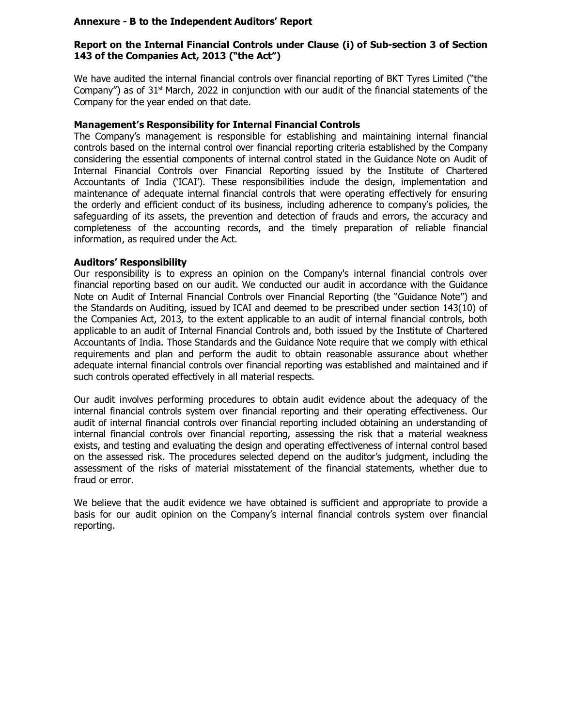# **Annexure - B to the Independent Auditors' Report**

# **Report on the Internal Financial Controls under Clause (i) of Sub-section 3 of Section 143 of the Companies Act, 2013 ("the Act")**

We have audited the internal financial controls over financial reporting of BKT Tyres Limited ("the Company") as of 31<sup>st</sup> March, 2022 in conjunction with our audit of the financial statements of the Company for the year ended on that date.

# **Management's Responsibility for Internal Financial Controls**

The Company's management is responsible for establishing and maintaining internal financial controls based on the internal control over financial reporting criteria established by the Company considering the essential components of internal control stated in the Guidance Note on Audit of Internal Financial Controls over Financial Reporting issued by the Institute of Chartered Accountants of India ('ICAI'). These responsibilities include the design, implementation and maintenance of adequate internal financial controls that were operating effectively for ensuring the orderly and efficient conduct of its business, including adherence to company's policies, the safeguarding of its assets, the prevention and detection of frauds and errors, the accuracy and completeness of the accounting records, and the timely preparation of reliable financial information, as required under the Act.

## **Auditors' Responsibility**

Our responsibility is to express an opinion on the Company's internal financial controls over financial reporting based on our audit. We conducted our audit in accordance with the Guidance Note on Audit of Internal Financial Controls over Financial Reporting (the "Guidance Note") and the Standards on Auditing, issued by ICAI and deemed to be prescribed under section 143(10) of the Companies Act, 2013, to the extent applicable to an audit of internal financial controls, both applicable to an audit of Internal Financial Controls and, both issued by the Institute of Chartered Accountants of India. Those Standards and the Guidance Note require that we comply with ethical requirements and plan and perform the audit to obtain reasonable assurance about whether adequate internal financial controls over financial reporting was established and maintained and if such controls operated effectively in all material respects.

Our audit involves performing procedures to obtain audit evidence about the adequacy of the internal financial controls system over financial reporting and their operating effectiveness. Our audit of internal financial controls over financial reporting included obtaining an understanding of internal financial controls over financial reporting, assessing the risk that a material weakness exists, and testing and evaluating the design and operating effectiveness of internal control based on the assessed risk. The procedures selected depend on the auditor's judgment, including the assessment of the risks of material misstatement of the financial statements, whether due to fraud or error.

We believe that the audit evidence we have obtained is sufficient and appropriate to provide a basis for our audit opinion on the Company's internal financial controls system over financial reporting.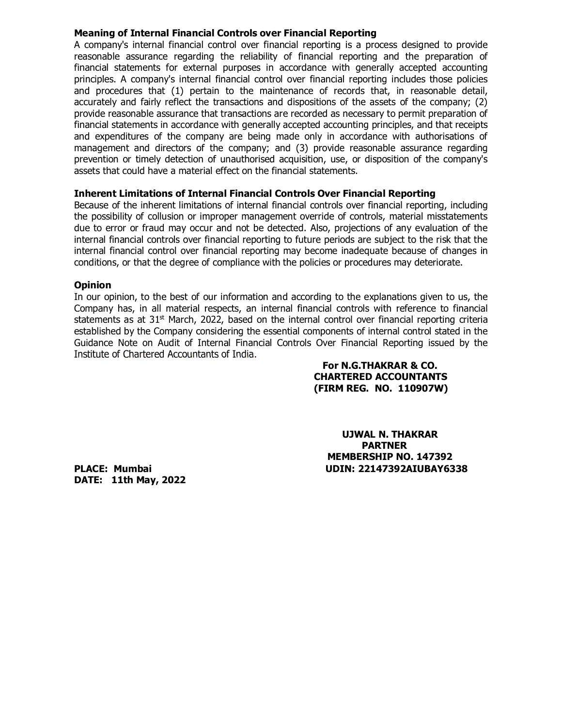# **Meaning of Internal Financial Controls over Financial Reporting**

A company's internal financial control over financial reporting is a process designed to provide reasonable assurance regarding the reliability of financial reporting and the preparation of financial statements for external purposes in accordance with generally accepted accounting principles. A company's internal financial control over financial reporting includes those policies and procedures that (1) pertain to the maintenance of records that, in reasonable detail, accurately and fairly reflect the transactions and dispositions of the assets of the company; (2) provide reasonable assurance that transactions are recorded as necessary to permit preparation of financial statements in accordance with generally accepted accounting principles, and that receipts and expenditures of the company are being made only in accordance with authorisations of management and directors of the company; and (3) provide reasonable assurance regarding prevention or timely detection of unauthorised acquisition, use, or disposition of the company's assets that could have a material effect on the financial statements.

# **Inherent Limitations of Internal Financial Controls Over Financial Reporting**

Because of the inherent limitations of internal financial controls over financial reporting, including the possibility of collusion or improper management override of controls, material misstatements due to error or fraud may occur and not be detected. Also, projections of any evaluation of the internal financial controls over financial reporting to future periods are subject to the risk that the internal financial control over financial reporting may become inadequate because of changes in conditions, or that the degree of compliance with the policies or procedures may deteriorate.

## **Opinion**

In our opinion, to the best of our information and according to the explanations given to us, the Company has, in all material respects, an internal financial controls with reference to financial statements as at  $31<sup>st</sup>$  March, 2022, based on the internal control over financial reporting criteria established by the Company considering the essential components of internal control stated in the Guidance Note on Audit of Internal Financial Controls Over Financial Reporting issued by the Institute of Chartered Accountants of India.

> **For N.G.THAKRAR & CO. CHARTERED ACCOUNTANTS (FIRM REG. NO. 110907W)**

 **UJWAL N. THAKRAR PARTNER MEMBERSHIP NO. 147392 PLACE: Mumbai UDIN: 22147392AIUBAY6338** 

**DATE: 11th May, 2022**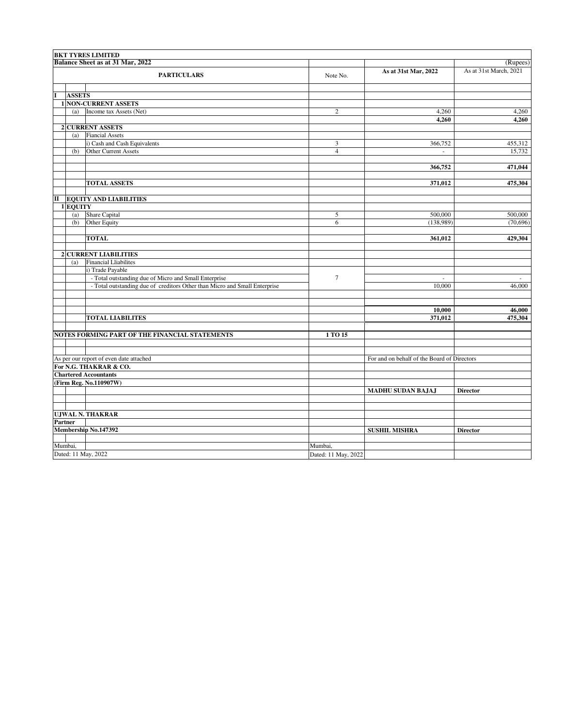|              |                | <b>BKT TYRES LIMITED</b>                                                   |                     |                                             |                        |
|--------------|----------------|----------------------------------------------------------------------------|---------------------|---------------------------------------------|------------------------|
|              |                | Balance Sheet as at 31 Mar, 2022                                           |                     |                                             | (Rupees)               |
|              |                | <b>PARTICULARS</b>                                                         | Note No.            | As at 31st Mar, 2022                        | As at 31st March, 2021 |
|              |                |                                                                            |                     |                                             |                        |
|              | <b>ASSETS</b>  |                                                                            |                     |                                             |                        |
|              |                | <b>1 NON-CURRENT ASSETS</b>                                                |                     |                                             |                        |
|              | (a)            | Income tax Assets (Net)                                                    | $\sqrt{2}$          | 4,260                                       | 4,260                  |
|              |                |                                                                            |                     | 4.260                                       | 4.260                  |
|              |                | <b>2 CURRENT ASSETS</b>                                                    |                     |                                             |                        |
|              | (a)            | <b>Fiancial Assets</b>                                                     |                     |                                             |                        |
|              |                | i) Cash and Cash Equivalents                                               | 3                   | 366,752                                     | 455,312                |
|              | (b)            | <b>Other Current Assets</b>                                                | $\overline{4}$      | $\mathbf{r}$                                | 15.732                 |
|              |                |                                                                            |                     |                                             |                        |
|              |                |                                                                            |                     | 366,752                                     | 471,044                |
|              |                |                                                                            |                     |                                             |                        |
|              |                | <b>TOTAL ASSETS</b>                                                        |                     | 371,012                                     | 475,304                |
|              |                |                                                                            |                     |                                             |                        |
| $\mathbf{I}$ |                | <b>EQUITY AND LIABILITIES</b>                                              |                     |                                             |                        |
|              | 1 EQUITY       |                                                                            |                     |                                             |                        |
|              | (a)            | Share Capital                                                              | 5                   | 500,000                                     | 500,000                |
|              | (b)            | Other Equity                                                               | 6                   | (138,989)                                   | (70,696)               |
|              |                |                                                                            |                     |                                             |                        |
|              |                | <b>TOTAL</b>                                                               |                     | 361,012                                     | 429,304                |
|              |                |                                                                            |                     |                                             |                        |
|              |                | <b>2 CURRENT LIABILITIES</b>                                               |                     |                                             |                        |
|              | (a)            | <b>Financial Lliabilites</b>                                               |                     |                                             |                        |
|              |                | i) Trade Payable                                                           |                     |                                             |                        |
|              |                | - Total outstanding due of Micro and Small Enterprise                      | $\tau$              |                                             |                        |
|              |                | - Total outstanding due of creditors Other than Micro and Small Enterprise |                     | 10,000                                      | 46,000                 |
|              |                |                                                                            |                     |                                             |                        |
|              |                |                                                                            |                     |                                             |                        |
|              |                |                                                                            |                     | 10,000                                      | 46,000                 |
|              |                | <b>TOTAL LIABILITES</b>                                                    |                     | 371,012                                     | 475,304                |
|              |                |                                                                            |                     |                                             |                        |
|              |                | NOTES FORMING PART OF THE FINANCIAL STATEMENTS                             | 1 TO 15             |                                             |                        |
|              |                |                                                                            |                     |                                             |                        |
|              |                |                                                                            |                     |                                             |                        |
|              |                | As per our report of even date attached                                    |                     | For and on behalf of the Board of Directors |                        |
|              |                | For N.G. THAKRAR & CO.                                                     |                     |                                             |                        |
|              |                | <b>Chartered Accountants</b>                                               |                     |                                             |                        |
|              |                | (Firm Reg. No.110907W)                                                     |                     |                                             |                        |
|              |                |                                                                            |                     | MADHU SUDAN BAJAJ                           | <b>Director</b>        |
|              |                |                                                                            |                     |                                             |                        |
|              |                |                                                                            |                     |                                             |                        |
|              |                | <b>UJWAL N. THAKRAR</b>                                                    |                     |                                             |                        |
|              | <b>Partner</b> |                                                                            |                     |                                             |                        |
|              |                | Membership No.147392                                                       |                     | <b>SUSHIL MISHRA</b>                        | <b>Director</b>        |
|              |                |                                                                            |                     |                                             |                        |
|              | Mumbai,        |                                                                            | Mumbai,             |                                             |                        |
|              |                | Dated: 11 May, 2022                                                        | Dated: 11 May, 2022 |                                             |                        |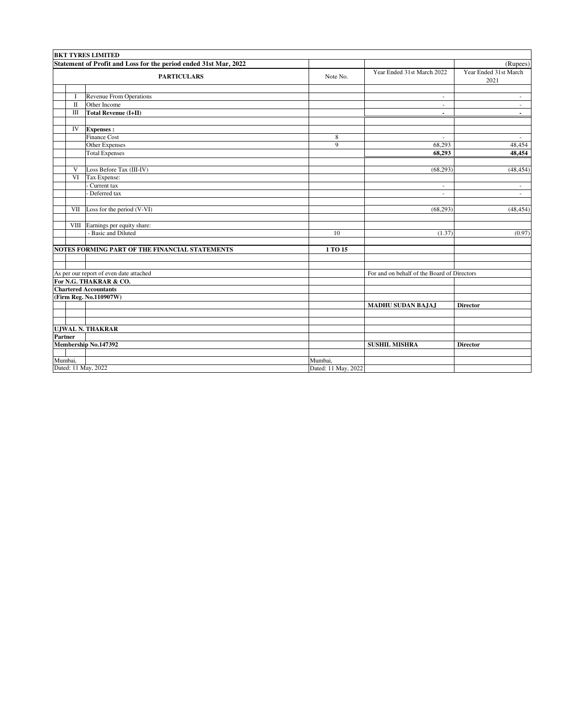|                    |              | <b>BKT TYRES LIMITED</b>                                         |                            |                                             |                          |
|--------------------|--------------|------------------------------------------------------------------|----------------------------|---------------------------------------------|--------------------------|
|                    |              | Statement of Profit and Loss for the period ended 31st Mar, 2022 |                            |                                             | (Rupees)                 |
| <b>PARTICULARS</b> |              | Note No.                                                         | Year Ended 31st March 2022 | Year Ended 31st March                       |                          |
|                    |              |                                                                  |                            |                                             | 2021                     |
|                    | I            | Revenue From Operations                                          |                            | $\overline{\phantom{a}}$                    | $\overline{\phantom{a}}$ |
|                    | $\mathbf{I}$ | Other Income                                                     |                            | ÷,                                          | ÷.                       |
|                    | Ш            | <b>Total Revenue (I+II)</b>                                      |                            | $\overline{a}$                              |                          |
|                    |              |                                                                  |                            |                                             |                          |
|                    | IV           | <b>Expenses:</b>                                                 |                            |                                             |                          |
|                    |              | <b>Finance Cost</b>                                              | 8                          | $\overline{\phantom{a}}$                    | $\sim$                   |
|                    |              | Other Expenses                                                   | 9                          | 68,293                                      | 48,454                   |
|                    |              | <b>Total Expenses</b>                                            |                            | 68,293                                      | 48,454                   |
|                    | V            | Loss Before Tax (III-IV)                                         |                            | (68, 293)                                   | (48, 454)                |
|                    | VI           | Tax Expense:                                                     |                            |                                             |                          |
|                    |              | Current tax                                                      |                            | $\sim$                                      | $\sim$                   |
|                    |              | Deferred tax                                                     |                            | $\overline{\phantom{a}}$                    | $\overline{\phantom{a}}$ |
|                    |              |                                                                  |                            |                                             |                          |
|                    | VII          | Loss for the period (V-VI)                                       |                            | (68, 293)                                   | (48, 454)                |
|                    |              |                                                                  |                            |                                             |                          |
|                    | <b>VIII</b>  | Earnings per equity share:                                       |                            |                                             |                          |
|                    |              | - Basic and Diluted                                              | 10                         | (1.37)                                      | (0.97)                   |
|                    |              | NOTES FORMING PART OF THE FINANCIAL STATEMENTS                   | 1 TO 15                    |                                             |                          |
|                    |              |                                                                  |                            |                                             |                          |
|                    |              |                                                                  |                            |                                             |                          |
|                    |              | As per our report of even date attached                          |                            | For and on behalf of the Board of Directors |                          |
|                    |              | For N.G. THAKRAR & CO.                                           |                            |                                             |                          |
|                    |              | <b>Chartered Accountants</b>                                     |                            |                                             |                          |
|                    |              | (Firm Reg. No.110907W)                                           |                            |                                             |                          |
|                    |              |                                                                  |                            | <b>MADHU SUDAN BAJAJ</b>                    | <b>Director</b>          |
|                    |              |                                                                  |                            |                                             |                          |
|                    |              | <b>UJWAL N. THAKRAR</b>                                          |                            |                                             |                          |
| <b>Partner</b>     |              |                                                                  |                            |                                             |                          |
|                    |              | Membership No.147392                                             |                            | <b>SUSHIL MISHRA</b>                        | <b>Director</b>          |
|                    |              |                                                                  |                            |                                             |                          |
| Mumbai,            |              |                                                                  | Mumbai,                    |                                             |                          |
|                    |              | Dated: 11 May, 2022                                              | Dated: 11 May, 2022        |                                             |                          |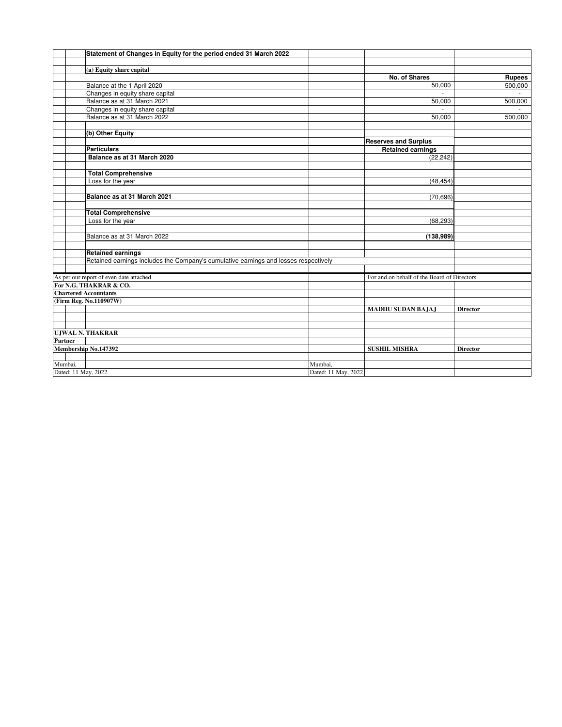|                | Statement of Changes in Equity for the period ended 31 March 2022                    |                     |                                             |                 |
|----------------|--------------------------------------------------------------------------------------|---------------------|---------------------------------------------|-----------------|
|                |                                                                                      |                     |                                             |                 |
|                | (a) Equity share capital                                                             |                     |                                             |                 |
|                |                                                                                      |                     | No. of Shares                               | <b>Rupees</b>   |
|                | Balance at the 1 April 2020                                                          |                     | 50,000                                      | 500,000         |
|                | Changes in equity share capital                                                      |                     |                                             |                 |
|                | Balance as at 31 March 2021                                                          |                     | 50,000                                      | 500,000         |
|                | Changes in equity share capital                                                      |                     |                                             |                 |
|                | Balance as at 31 March 2022                                                          |                     | 50,000                                      | 500,000         |
|                |                                                                                      |                     |                                             |                 |
|                | (b) Other Equity                                                                     |                     |                                             |                 |
|                |                                                                                      |                     | <b>Reserves and Surplus</b>                 |                 |
|                | <b>Particulars</b>                                                                   |                     | <b>Retained earnings</b>                    |                 |
|                | Balance as at 31 March 2020                                                          |                     | (22, 242)                                   |                 |
|                |                                                                                      |                     |                                             |                 |
|                | <b>Total Comprehensive</b>                                                           |                     |                                             |                 |
|                | Loss for the year                                                                    |                     | (48, 454)                                   |                 |
|                |                                                                                      |                     |                                             |                 |
|                | Balance as at 31 March 2021                                                          |                     | (70, 696)                                   |                 |
|                |                                                                                      |                     |                                             |                 |
|                | <b>Total Comprehensive</b>                                                           |                     |                                             |                 |
|                | Loss for the year                                                                    |                     | (68, 293)                                   |                 |
|                |                                                                                      |                     |                                             |                 |
|                | Balance as at 31 March 2022                                                          |                     | (138,989)                                   |                 |
|                |                                                                                      |                     |                                             |                 |
|                | <b>Retained earnings</b>                                                             |                     |                                             |                 |
|                | Retained earnings includes the Company's cumulative earnings and losses respectively |                     |                                             |                 |
|                |                                                                                      |                     |                                             |                 |
|                | As per our report of even date attached                                              |                     | For and on behalf of the Board of Directors |                 |
|                | For N.G. THAKRAR & CO.                                                               |                     |                                             |                 |
|                | <b>Chartered Accountants</b>                                                         |                     |                                             |                 |
|                | (Firm Reg. No.110907W)                                                               |                     |                                             |                 |
|                |                                                                                      |                     | <b>MADHU SUDAN BAJAJ</b>                    | <b>Director</b> |
|                |                                                                                      |                     |                                             |                 |
|                |                                                                                      |                     |                                             |                 |
|                | <b>UJWAL N. THAKRAR</b>                                                              |                     |                                             |                 |
| <b>Partner</b> |                                                                                      |                     |                                             |                 |
|                | Membership No.147392                                                                 |                     | <b>SUSHIL MISHRA</b>                        | <b>Director</b> |
|                |                                                                                      |                     |                                             |                 |
| Mumbai,        |                                                                                      | Mumbai,             |                                             |                 |
|                | Dated: 11 May, 2022                                                                  | Dated: 11 May, 2022 |                                             |                 |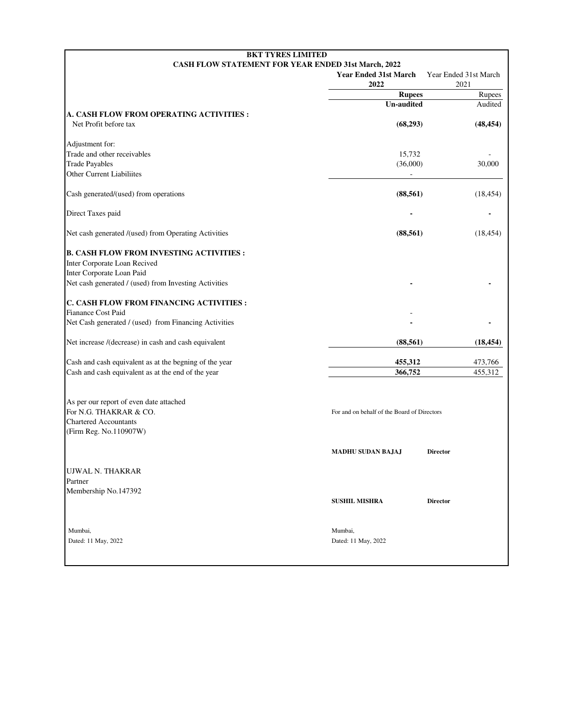| <b>BKT TYRES LIMITED</b>                                   |                                             |                               |
|------------------------------------------------------------|---------------------------------------------|-------------------------------|
| <b>CASH FLOW STATEMENT FOR YEAR ENDED 31st March, 2022</b> |                                             |                               |
|                                                            | <b>Year Ended 31st March</b><br>2022        | Year Ended 31st March<br>2021 |
|                                                            | <b>Rupees</b>                               | Rupees                        |
|                                                            | <b>Un-audited</b>                           | Audited                       |
| A. CASH FLOW FROM OPERATING ACTIVITIES :                   |                                             |                               |
| Net Profit before tax                                      | (68, 293)                                   | (48, 454)                     |
| Adjustment for:                                            |                                             |                               |
| Trade and other receivables                                | 15,732                                      |                               |
| <b>Trade Payables</b>                                      | (36,000)                                    | 30,000                        |
| Other Current Liabiliites                                  |                                             |                               |
| Cash generated/(used) from operations                      | (88, 561)                                   | (18, 454)                     |
| Direct Taxes paid                                          |                                             |                               |
| Net cash generated /(used) from Operating Activities       | (88, 561)                                   | (18, 454)                     |
| <b>B. CASH FLOW FROM INVESTING ACTIVITIES :</b>            |                                             |                               |
| Inter Corporate Loan Recived                               |                                             |                               |
| Inter Corporate Loan Paid                                  |                                             |                               |
| Net cash generated / (used) from Investing Activities      |                                             |                               |
| C. CASH FLOW FROM FINANCING ACTIVITIES :                   |                                             |                               |
| Fianance Cost Paid                                         |                                             |                               |
| Net Cash generated / (used) from Financing Activities      |                                             |                               |
| Net increase /(decrease) in cash and cash equivalent       | (88, 561)                                   | (18, 454)                     |
| Cash and cash equivalent as at the begning of the year     | 455,312                                     | 473,766                       |
| Cash and cash equivalent as at the end of the year         | 366,752                                     | 455,312                       |
| As per our report of even date attached                    |                                             |                               |
| For N.G. THAKRAR & CO.                                     | For and on behalf of the Board of Directors |                               |
| <b>Chartered Accountants</b>                               |                                             |                               |
| (Firm Reg. No.110907W)                                     |                                             |                               |
|                                                            | <b>MADHU SUDAN BAJAJ</b>                    | <b>Director</b>               |
| <b>UJWAL N. THAKRAR</b>                                    |                                             |                               |
| Partner                                                    |                                             |                               |
| Membership No.147392                                       |                                             |                               |
|                                                            | <b>SUSHIL MISHRA</b>                        | <b>Director</b>               |
| Mumbai,                                                    | Mumbai,                                     |                               |
| Dated: 11 May, 2022                                        | Dated: 11 May, 2022                         |                               |
|                                                            |                                             |                               |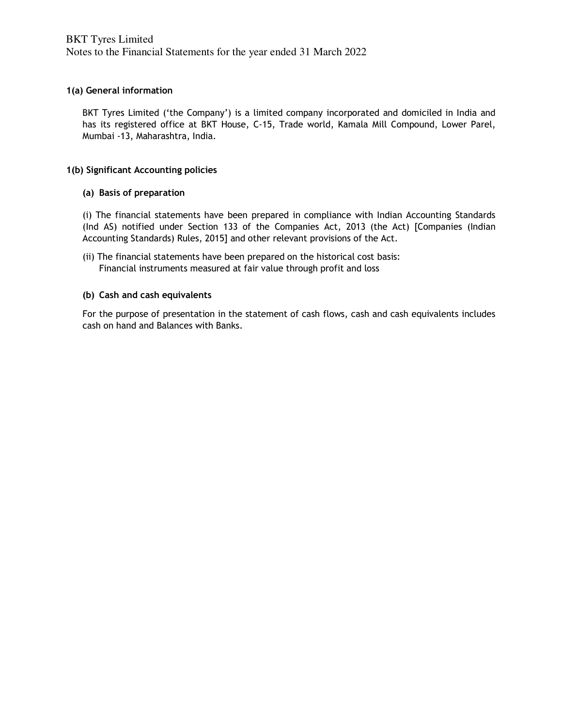# **1(a) General information**

BKT Tyres Limited ('the Company') is a limited company incorporated and domiciled in India and has its registered office at BKT House, C-15, Trade world, Kamala Mill Compound, Lower Parel, Mumbai -13, Maharashtra, India.

# **1(b) Significant Accounting policies**

## **(a) Basis of preparation**

(i) The financial statements have been prepared in compliance with Indian Accounting Standards (Ind AS) notified under Section 133 of the Companies Act, 2013 (the Act) [Companies (Indian Accounting Standards) Rules, 2015] and other relevant provisions of the Act.

(ii) The financial statements have been prepared on the historical cost basis: Financial instruments measured at fair value through profit and loss

## **(b) Cash and cash equivalents**

For the purpose of presentation in the statement of cash flows, cash and cash equivalents includes cash on hand and Balances with Banks.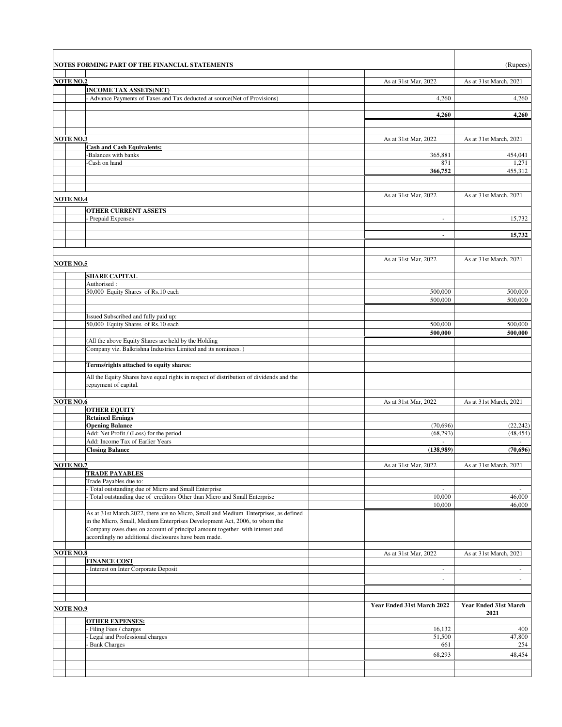|                                                |                  |                                                                                                                  |  |                            | (Rupees)                     |  |
|------------------------------------------------|------------------|------------------------------------------------------------------------------------------------------------------|--|----------------------------|------------------------------|--|
| NOTES FORMING PART OF THE FINANCIAL STATEMENTS |                  |                                                                                                                  |  |                            |                              |  |
|                                                | <b>NOTE NO.2</b> |                                                                                                                  |  | As at 31st Mar, 2022       | As at 31st March, 2021       |  |
|                                                |                  | <b>INCOME TAX ASSETS(NET)</b>                                                                                    |  |                            |                              |  |
|                                                |                  | Advance Payments of Taxes and Tax deducted at source(Net of Provisions)                                          |  | 4,260                      | 4,260                        |  |
|                                                |                  |                                                                                                                  |  | 4,260                      | 4,260                        |  |
|                                                |                  |                                                                                                                  |  |                            |                              |  |
|                                                | <b>NOTE NO.3</b> |                                                                                                                  |  | As at 31st Mar, 2022       | As at 31st March, 2021       |  |
|                                                |                  | <b>Cash and Cash Equivalents:</b>                                                                                |  |                            |                              |  |
|                                                |                  | Balances with banks                                                                                              |  | 365,881                    | 454,041                      |  |
|                                                |                  | -Cash on hand                                                                                                    |  | 871                        | 1,271                        |  |
|                                                |                  |                                                                                                                  |  | 366,752                    | 455,312                      |  |
|                                                |                  |                                                                                                                  |  |                            |                              |  |
|                                                | <b>NOTE NO.4</b> |                                                                                                                  |  | As at 31st Mar, 2022       | As at 31st March, 2021       |  |
|                                                |                  | <b>OTHER CURRENT ASSETS</b>                                                                                      |  |                            |                              |  |
|                                                |                  | Prepaid Expenses                                                                                                 |  | $\overline{\phantom{a}}$   | 15,732                       |  |
|                                                |                  |                                                                                                                  |  |                            |                              |  |
|                                                |                  |                                                                                                                  |  | $\blacksquare$             | 15,732                       |  |
|                                                |                  |                                                                                                                  |  |                            |                              |  |
|                                                |                  |                                                                                                                  |  | As at 31st Mar, 2022       | As at 31st March, 2021       |  |
|                                                | <b>NOTE NO.5</b> |                                                                                                                  |  |                            |                              |  |
|                                                |                  | <b>SHARE CAPITAL</b><br>Authorised:                                                                              |  |                            |                              |  |
|                                                |                  | 50,000 Equity Shares of Rs.10 each                                                                               |  | 500,000                    | 500,000                      |  |
|                                                |                  |                                                                                                                  |  | 500,000                    | 500,000                      |  |
|                                                |                  |                                                                                                                  |  |                            |                              |  |
|                                                |                  | Issued Subscribed and fully paid up:<br>50,000 Equity Shares of Rs.10 each                                       |  | 500,000                    | 500,000                      |  |
|                                                |                  |                                                                                                                  |  | 500,000                    | 500,000                      |  |
|                                                |                  | (All the above Equity Shares are held by the Holding                                                             |  |                            |                              |  |
|                                                |                  | Company viz. Balkrishna Industries Limited and its nominees.)                                                    |  |                            |                              |  |
|                                                |                  | Terms/rights attached to equity shares:                                                                          |  |                            |                              |  |
|                                                |                  |                                                                                                                  |  |                            |                              |  |
|                                                |                  | All the Equity Shares have equal rights in respect of distribution of dividends and the<br>repayment of capital. |  |                            |                              |  |
|                                                | <b>NOTE NO.6</b> |                                                                                                                  |  | As at 31st Mar, 2022       | As at 31st March, 2021       |  |
|                                                |                  | <b>OTHER EQUITY</b>                                                                                              |  |                            |                              |  |
|                                                |                  | <b>Retained Ernings</b>                                                                                          |  |                            |                              |  |
|                                                |                  | <b>Opening Balance</b><br>Add: Net Profit / (Loss) for the period                                                |  | (70,696)<br>(68, 293)      | (22, 242)<br>(48, 454)       |  |
|                                                |                  | Add: Income Tax of Earlier Years                                                                                 |  |                            |                              |  |
|                                                |                  | <b>Closing Balance</b>                                                                                           |  | (138,989)                  | (70.696)                     |  |
|                                                | <b>NOTE NO.7</b> |                                                                                                                  |  |                            |                              |  |
|                                                |                  | <b>TRADE PAYABLES</b>                                                                                            |  | As at 31st Mar, 2022       | As at 31st March, 2021       |  |
|                                                |                  | Trade Payables due to:                                                                                           |  |                            |                              |  |
|                                                |                  | - Total outstanding due of Micro and Small Enterprise                                                            |  | $\overline{\phantom{a}}$   | $\sim$                       |  |
|                                                |                  | Total outstanding due of creditors Other than Micro and Small Enterprise                                         |  | 10,000<br>10,000           | 46,000<br>46,000             |  |
|                                                |                  | As at 31st March, 2022, there are no Micro, Small and Medium Enterprises, as defined                             |  |                            |                              |  |
|                                                |                  | in the Micro, Small, Medium Enterprises Development Act, 2006, to whom the                                       |  |                            |                              |  |
|                                                |                  | Company owes dues on account of principal amount together with interest and                                      |  |                            |                              |  |
|                                                |                  | accordingly no additional disclosures have been made.                                                            |  |                            |                              |  |
|                                                | <b>NOTE NO.8</b> |                                                                                                                  |  | As at 31st Mar, 2022       | As at 31st March, 2021       |  |
|                                                |                  | <b>FINANCE COST</b>                                                                                              |  |                            |                              |  |
|                                                |                  | Interest on Inter Corporate Deposit                                                                              |  | $\overline{\phantom{a}}$   | $\overline{\phantom{a}}$     |  |
|                                                |                  |                                                                                                                  |  | $\overline{\phantom{a}}$   | $\sim$                       |  |
|                                                |                  |                                                                                                                  |  |                            |                              |  |
|                                                | <b>NOTE NO.9</b> |                                                                                                                  |  | Year Ended 31st March 2022 | <b>Year Ended 31st March</b> |  |
|                                                |                  |                                                                                                                  |  |                            | 2021                         |  |
|                                                |                  | <b>OTHER EXPENSES:</b><br>Filing Fees / charges                                                                  |  | 16,132                     | 400                          |  |
|                                                |                  | Legal and Professional charges                                                                                   |  | 51,500                     | 47,800                       |  |
|                                                |                  | <b>Bank Charges</b>                                                                                              |  | 661                        | 254                          |  |
|                                                |                  |                                                                                                                  |  | 68,293                     | 48,454                       |  |
|                                                |                  |                                                                                                                  |  |                            |                              |  |
|                                                |                  |                                                                                                                  |  |                            |                              |  |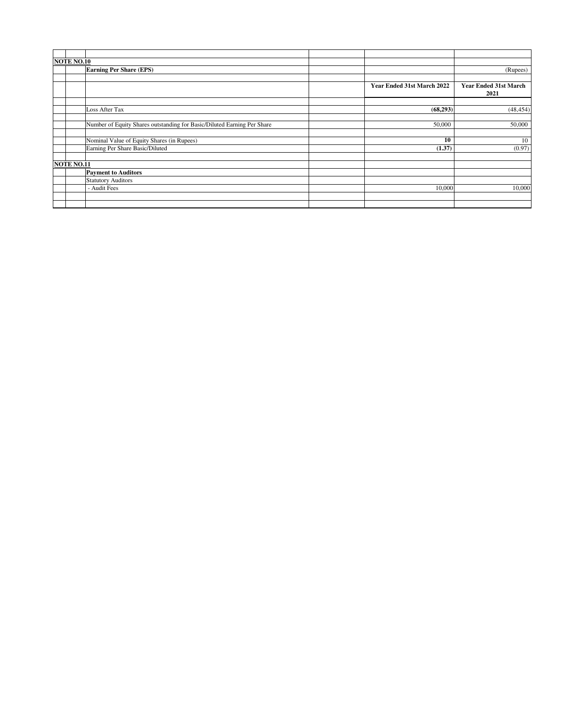| <b>NOTE NO.10</b> |                   |                                                                         |  |                            |                              |
|-------------------|-------------------|-------------------------------------------------------------------------|--|----------------------------|------------------------------|
|                   |                   | <b>Earning Per Share (EPS)</b>                                          |  |                            | (Rupees)                     |
|                   |                   |                                                                         |  |                            |                              |
|                   |                   |                                                                         |  | Year Ended 31st March 2022 | <b>Year Ended 31st March</b> |
|                   |                   |                                                                         |  |                            | 2021                         |
|                   |                   |                                                                         |  |                            |                              |
|                   |                   | Loss After Tax                                                          |  | (68,293)                   | (48, 454)                    |
|                   |                   |                                                                         |  |                            |                              |
|                   |                   | Number of Equity Shares outstanding for Basic/Diluted Earning Per Share |  | 50,000                     | 50,000                       |
|                   |                   |                                                                         |  |                            |                              |
|                   |                   | Nominal Value of Equity Shares (in Rupees)                              |  | 10                         | 10                           |
|                   |                   | Earning Per Share Basic/Diluted                                         |  | (1.37)                     | (0.97)                       |
|                   |                   |                                                                         |  |                            |                              |
|                   | <b>NOTE NO.11</b> |                                                                         |  |                            |                              |
|                   |                   | <b>Payment to Auditors</b>                                              |  |                            |                              |
|                   |                   | <b>Statutory Auditors</b>                                               |  |                            |                              |
|                   |                   | - Audit Fees                                                            |  | 10,000                     | 10,000                       |
|                   |                   |                                                                         |  |                            |                              |
|                   |                   |                                                                         |  |                            |                              |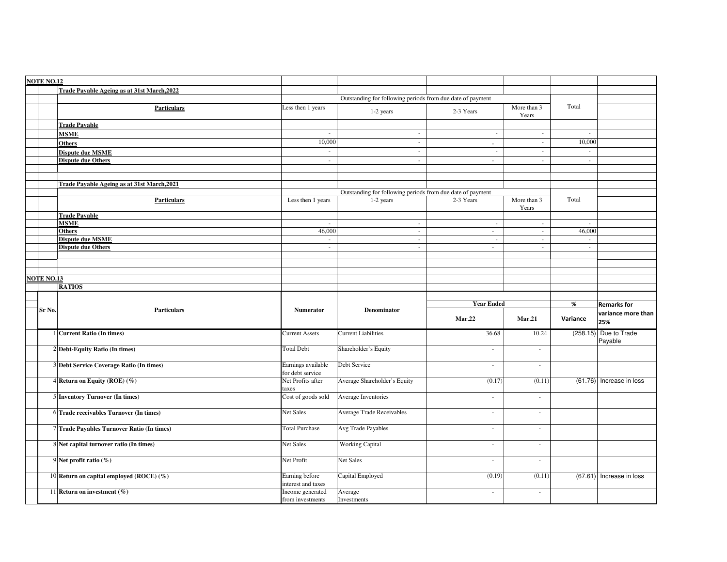|  | <b>NOTE NO.12</b> |                                             |                                        |                                                            |                          |                          |                          |                                                  |
|--|-------------------|---------------------------------------------|----------------------------------------|------------------------------------------------------------|--------------------------|--------------------------|--------------------------|--------------------------------------------------|
|  |                   | Trade Payable Ageing as at 31st March, 2022 |                                        |                                                            |                          |                          |                          |                                                  |
|  |                   |                                             |                                        | Outstanding for following periods from due date of payment |                          |                          |                          |                                                  |
|  |                   |                                             |                                        |                                                            |                          |                          | Total                    |                                                  |
|  |                   | <b>Particulars</b>                          | Less then 1 years                      | 1-2 years                                                  | 2-3 Years                | More than 3<br>Years     |                          |                                                  |
|  |                   | <b>Trade Pavable</b>                        |                                        |                                                            |                          |                          |                          |                                                  |
|  |                   | <b>MSME</b>                                 | $\sim$                                 | $\sim$                                                     | $\sim$                   | $\overline{\phantom{a}}$ | $\sim$                   |                                                  |
|  |                   | <b>Others</b>                               | 10,000                                 | $\overline{\phantom{a}}$                                   | ×.                       | $\sim$                   | 10,000                   |                                                  |
|  |                   | <b>Dispute due MSME</b>                     | $\sim$                                 | $\sim$                                                     | $\sim$                   | $\overline{\phantom{a}}$ | $\sim$                   |                                                  |
|  |                   | <b>Dispute due Others</b>                   | $\sim$                                 | $\sim$                                                     | $\sim$                   | $\sim$                   | $\overline{\phantom{a}}$ |                                                  |
|  |                   |                                             |                                        |                                                            |                          |                          |                          |                                                  |
|  |                   | Trade Pavable Ageing as at 31st March, 2021 |                                        |                                                            |                          |                          |                          |                                                  |
|  |                   |                                             |                                        | Outstanding for following periods from due date of payment |                          |                          |                          |                                                  |
|  |                   | <b>Particulars</b>                          | Less then 1 years                      | 1-2 years                                                  | 2-3 Years                | More than 3              | Total                    |                                                  |
|  |                   |                                             |                                        |                                                            |                          | Years                    |                          |                                                  |
|  |                   | <b>Trade Payable</b>                        |                                        |                                                            |                          |                          |                          |                                                  |
|  |                   | <b>MSME</b>                                 |                                        | ÷                                                          | $\sim$                   | $\sim$                   |                          |                                                  |
|  |                   | <b>Others</b>                               | 46,000                                 | $\sim$                                                     | $\omega$                 | $\omega$                 | 46,000                   |                                                  |
|  |                   | Dispute due MSME                            | $\sim$                                 | $\omega$                                                   | $\sim$                   | $\sim$                   | $\sim$                   |                                                  |
|  |                   | <b>Dispute due Others</b>                   | $\sim$                                 | ÷                                                          | ÷                        | ×.                       | $\sim$                   |                                                  |
|  |                   |                                             |                                        |                                                            |                          |                          |                          |                                                  |
|  |                   |                                             |                                        |                                                            |                          |                          |                          |                                                  |
|  |                   |                                             |                                        |                                                            |                          |                          |                          |                                                  |
|  | <b>NOTE NO.13</b> |                                             |                                        |                                                            |                          |                          |                          |                                                  |
|  |                   |                                             |                                        |                                                            |                          |                          |                          |                                                  |
|  |                   | <b>RATIOS</b>                               |                                        |                                                            |                          |                          |                          |                                                  |
|  |                   |                                             |                                        |                                                            |                          |                          |                          |                                                  |
|  |                   |                                             |                                        |                                                            | <b>Year Ended</b>        |                          | %                        | <b>Remarks for</b>                               |
|  | Sr No             | <b>Particulars</b>                          | <b>Numerator</b>                       | <b>Denominator</b>                                         | <b>Mar.22</b>            | <b>Mar.21</b>            | Variance                 | 25%                                              |
|  |                   | 1 Current Ratio (In times)                  | <b>Current Assets</b>                  | <b>Current Liabilities</b>                                 | 36.68                    | 10.24                    |                          | $(258.15)$ Due to Trade<br>Payable               |
|  |                   | 2 Debt-Equity Ratio (In times)              | <b>Total Debt</b>                      | Shareholder's Equity                                       | $\sim$                   | $\omega$                 |                          |                                                  |
|  |                   | 3 Debt Service Coverage Ratio (In times)    | Earnings available<br>for debt service | Debt Service                                               | $\sim$                   | $\omega$                 |                          |                                                  |
|  |                   | 4 Return on Equity (ROE) (%)                | Net Profits after<br>axes              | Average Shareholder's Equity                               | (0.17)                   | (0.11)                   |                          | $(61.76)$ Increase in loss                       |
|  |                   | 5 Inventory Turnover (In times)             | Cost of goods sold                     | Average Inventories                                        | $\sim$                   | $\overline{\phantom{a}}$ |                          |                                                  |
|  |                   | 6 Trade receivables Turnover (In times)     | Net Sales                              | <b>Average Trade Receivables</b>                           | ×.                       | $\overline{\phantom{a}}$ |                          |                                                  |
|  |                   | 7 Trade Payables Turnover Ratio (In times)  | <b>Total Purchase</b>                  | Avg Trade Payables                                         | ÷,                       | $\overline{\phantom{a}}$ |                          |                                                  |
|  |                   | 8 Net capital turnover ratio (In times)     | Net Sales                              | <b>Working Capital</b>                                     | $\overline{\phantom{a}}$ | $\overline{\phantom{a}}$ |                          |                                                  |
|  |                   | 9 Net profit ratio $(\%)$                   | Net Profit                             | Net Sales                                                  | $\overline{\phantom{a}}$ | $\overline{\phantom{a}}$ |                          |                                                  |
|  |                   | 10 Return on capital employed (ROCE) (%)    | Earning before<br>interest and taxes   | Capital Employed                                           | (0.19)                   | (0.11)                   |                          | variance more than<br>$(67.61)$ Increase in loss |